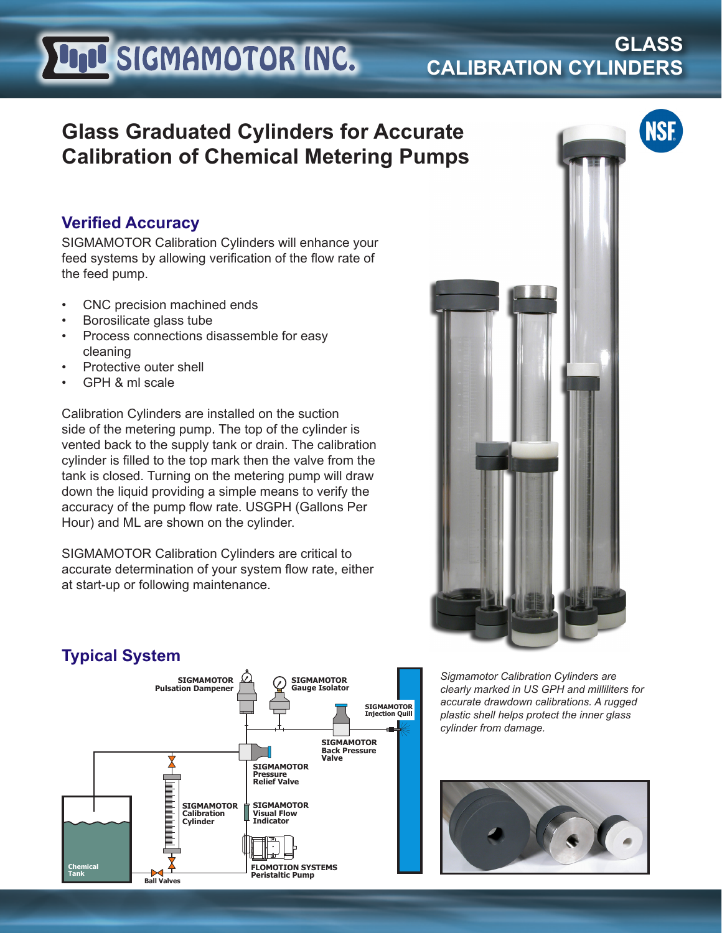# **LIJU SIGMAMOTOR INC.**

### **GLASS CALIBRATION CYLINDERS**

**NSF.** 

## **Glass Graduated Cylinders for Accurate Calibration of Chemical Metering Pumps**

#### **Verified Accuracy**

SIGMAMOTOR Calibration Cylinders will enhance your feed systems by allowing verification of the flow rate of the feed pump.

- CNC precision machined ends
- Borosilicate glass tube
- Process connections disassemble for easy cleaning
- Protective outer shell
- GPH & ml scale

Calibration Cylinders are installed on the suction side of the metering pump. The top of the cylinder is vented back to the supply tank or drain. The calibration cylinder is filled to the top mark then the valve from the tank is closed. Turning on the metering pump will draw down the liquid providing a simple means to verify the accuracy of the pump flow rate. USGPH (Gallons Per Hour) and ML are shown on the cylinder.

SIGMAMOTOR Calibration Cylinders are critical to accurate determination of your system flow rate, either at start-up or following maintenance.





**Peristaltic Pump**

*Sigmamotor Calibration Cylinders are clearly marked in US GPH and milliliters for accurate drawdown calibrations. A rugged plastic shell helps protect the inner glass cylinder from damage.* 



#### **Typical System**

**Ball Valves**